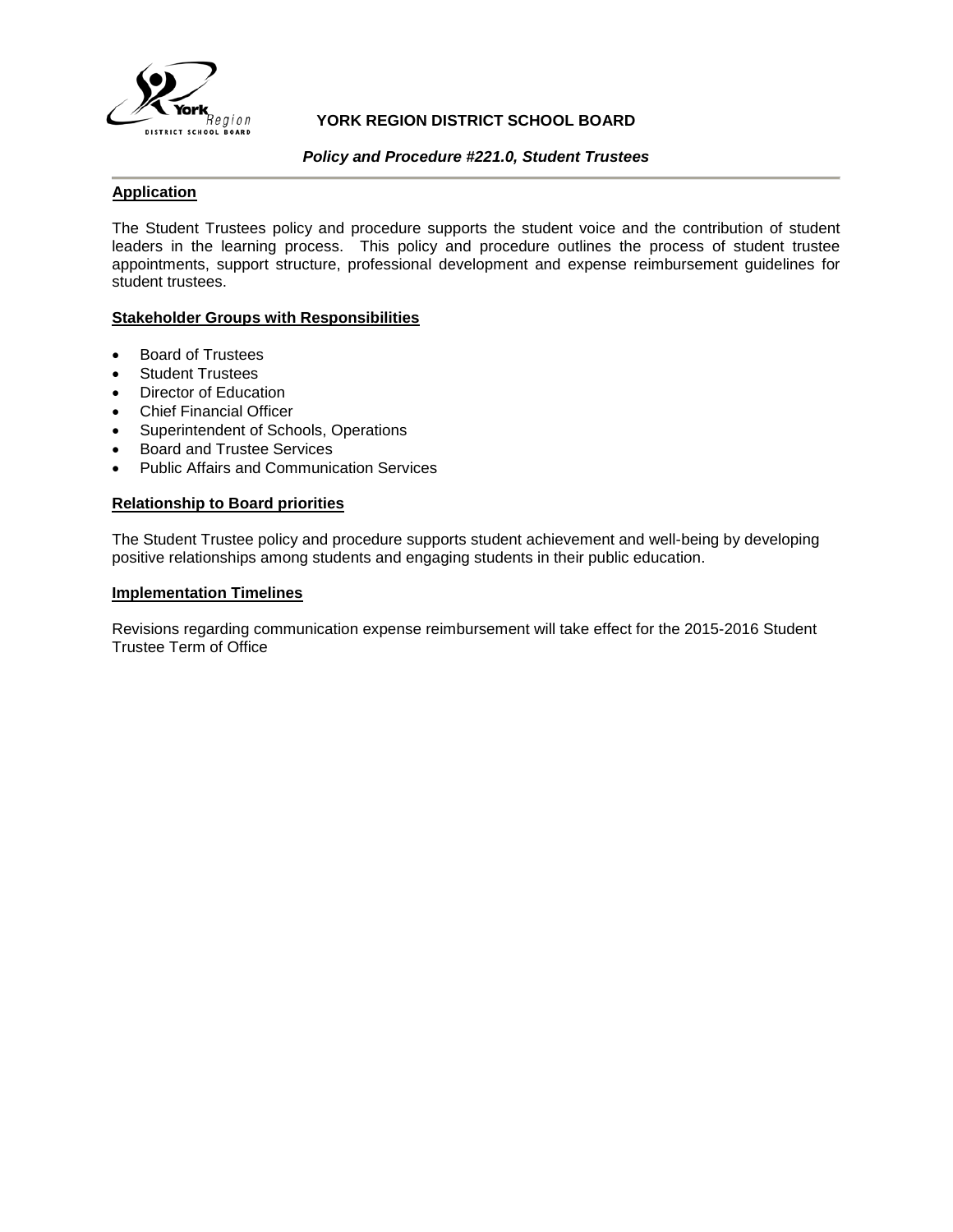

# **YORK REGION DISTRICT SCHOOL BOARD**

## *Policy and Procedure #221.0, Student Trustees*

# **Application**

The Student Trustees policy and procedure supports the student voice and the contribution of student leaders in the learning process. This policy and procedure outlines the process of student trustee appointments, support structure, professional development and expense reimbursement guidelines for student trustees.

# **Stakeholder Groups with Responsibilities**

- Board of Trustees
- **Student Trustees**
- Director of Education
- Chief Financial Officer
- Superintendent of Schools, Operations
- Board and Trustee Services
- Public Affairs and Communication Services

## **Relationship to Board priorities**

The Student Trustee policy and procedure supports student achievement and well-being by developing positive relationships among students and engaging students in their public education.

# **Implementation Timelines**

Revisions regarding communication expense reimbursement will take effect for the 2015-2016 Student Trustee Term of Office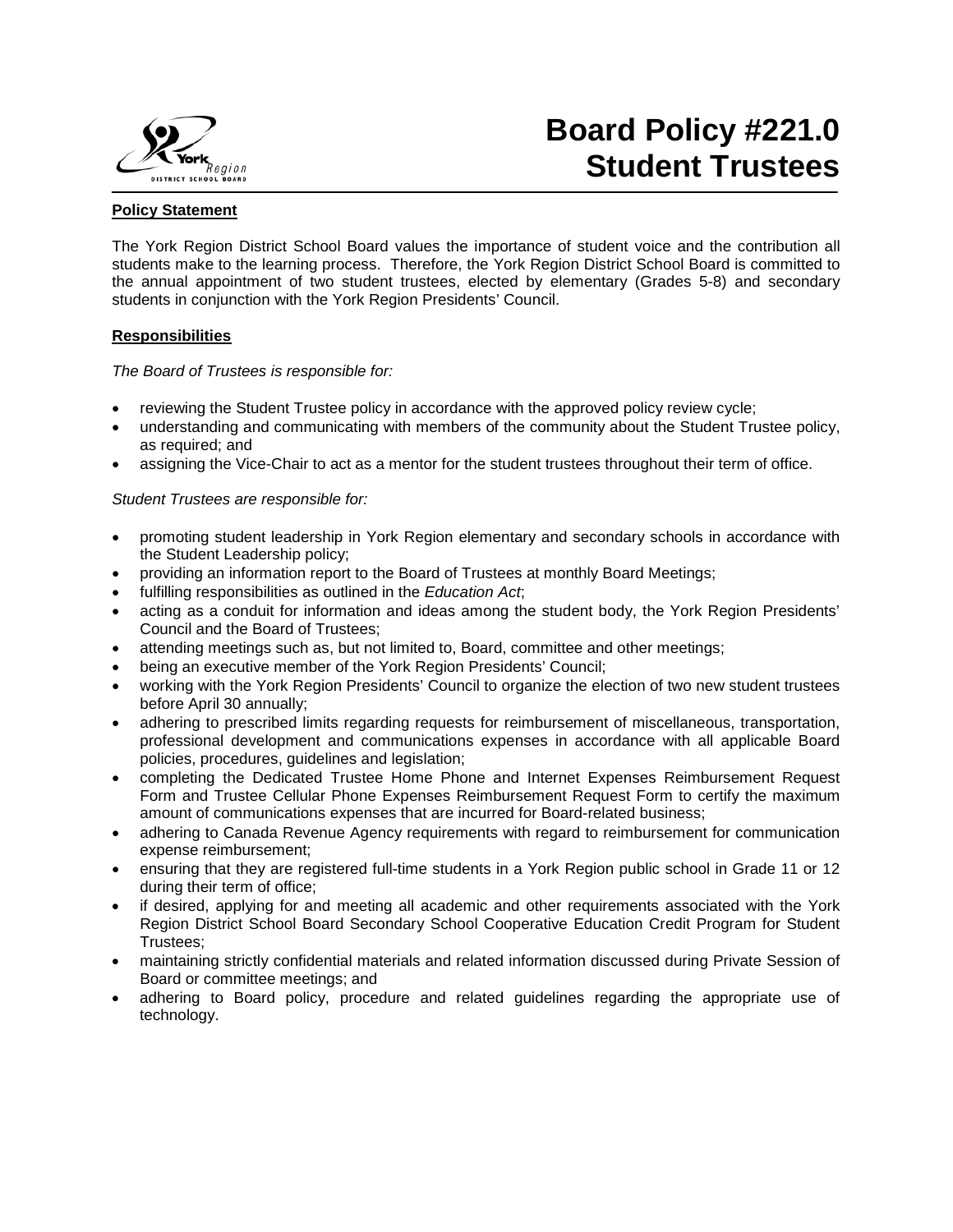

# **Board Policy #221.0 Student Trustees**

# **Policy Statement**

The York Region District School Board values the importance of student voice and the contribution all students make to the learning process. Therefore, the York Region District School Board is committed to the annual appointment of two student trustees, elected by elementary (Grades 5-8) and secondary students in conjunction with the York Region Presidents' Council.

# **Responsibilities**

*The Board of Trustees is responsible for:* 

- reviewing the Student Trustee policy in accordance with the approved policy review cycle;
- understanding and communicating with members of the community about the Student Trustee policy, as required; and
- assigning the Vice-Chair to act as a mentor for the student trustees throughout their term of office.

# *Student Trustees are responsible for:*

- promoting student leadership in York Region elementary and secondary schools in accordance with the [Student Leadership policy;](http://www.yrdsb.edu.on.ca/pdfs/p&p/a/policy/672.pdf)
- providing an information report to the Board of Trustees at monthly Board Meetings;
- fulfilling responsibilities as outlined in the *Education Act*;
- acting as a conduit for information and ideas among the student body, the York Region Presidents' Council and the Board of Trustees;
- attending meetings such as, but not limited to, Board, committee and other meetings;
- being an executive member of the York Region Presidents' Council;
- working with the York Region Presidents' Council to organize the election of two new student trustees before April 30 annually;
- adhering to prescribed limits regarding requests for reimbursement of miscellaneous, transportation, professional development and communications expenses in accordance with all applicable Board policies, procedures, guidelines and legislation;
- completing the Dedicated Trustee Home Phone and Internet Expenses Reimbursement Request Form and Trustee Cellular Phone Expenses Reimbursement Request Form to certify the maximum amount of communications expenses that are incurred for Board-related business;
- adhering to Canada Revenue Agency requirements with regard to reimbursement for communication expense reimbursement;
- ensuring that they are registered full-time students in a York Region public school in Grade 11 or 12 during their term of office;
- if desired, applying for and meeting all academic and other requirements associated with the York Region District School Board Secondary School Cooperative Education Credit Program for Student Trustees;
- maintaining strictly confidential materials and related information discussed during Private Session of Board or committee meetings; and
- adhering to Board policy, procedure and related guidelines regarding the appropriate use of technology.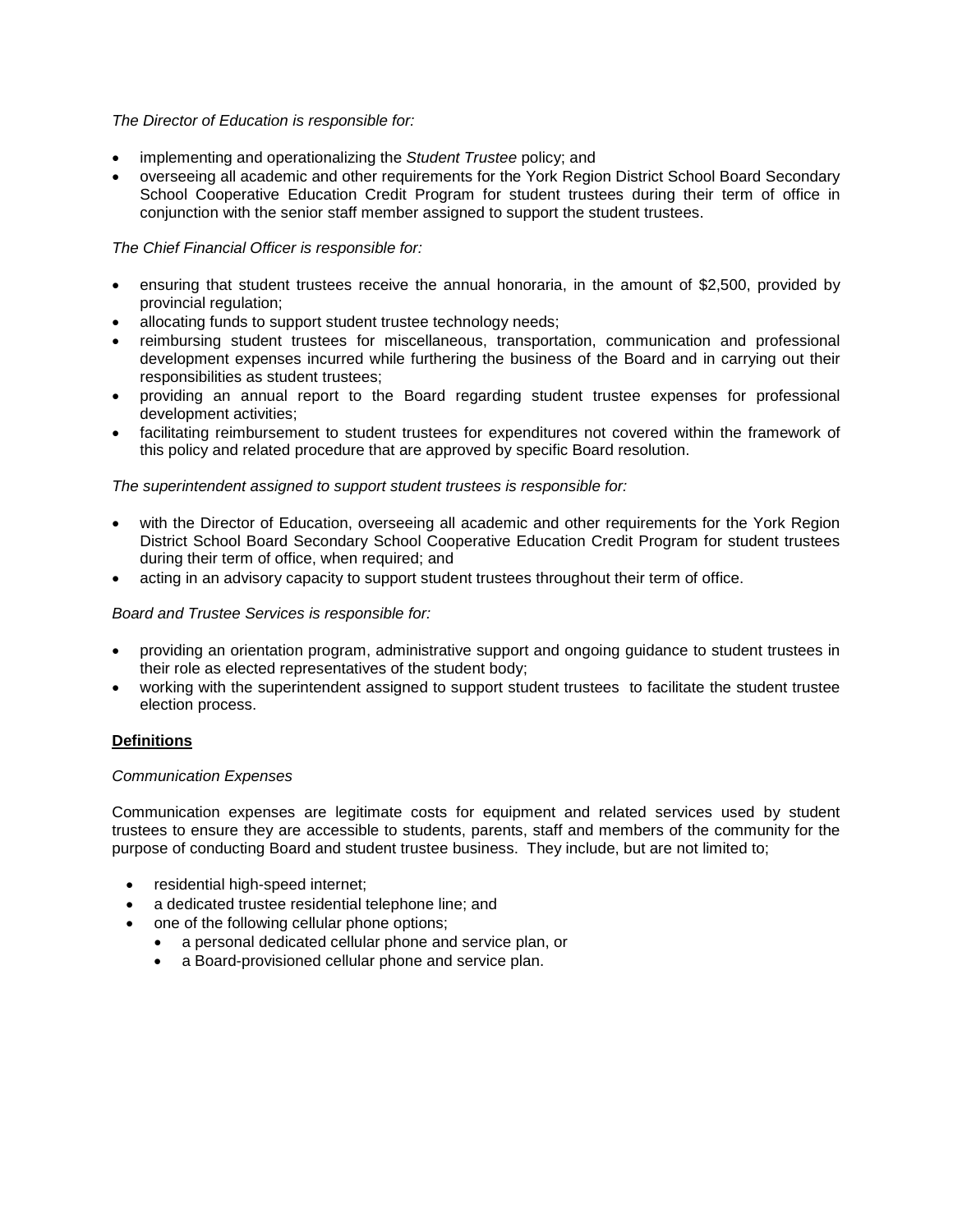# *The Director of Education is responsible for:*

- implementing and operationalizing the *Student Trustee* policy; and
- overseeing all academic and other requirements for the York Region District School Board Secondary School Cooperative Education Credit Program for student trustees during their term of office in conjunction with the senior staff member assigned to support the student trustees.

# *The Chief Financial Officer is responsible for:*

- ensuring that student trustees receive the annual honoraria, in the amount of \$2,500, provided by provincial regulation;
- allocating funds to support student trustee technology needs;
- reimbursing student trustees for miscellaneous, transportation, communication and professional development expenses incurred while furthering the business of the Board and in carrying out their responsibilities as student trustees;
- providing an annual report to the Board regarding student trustee expenses for professional development activities;
- facilitating reimbursement to student trustees for expenditures not covered within the framework of this policy and related procedure that are approved by specific Board resolution.

## *The superintendent assigned to support student trustees is responsible for:*

- with the Director of Education, overseeing all academic and other requirements for the York Region District School Board Secondary School Cooperative Education Credit Program for student trustees during their term of office, when required; and
- acting in an advisory capacity to support student trustees throughout their term of office.

## *Board and Trustee Services is responsible for:*

- providing an orientation program, administrative support and ongoing guidance to student trustees in their role as elected representatives of the student body;
- working with the superintendent assigned to support student trustees to facilitate the student trustee election process.

## **Definitions**

## *Communication Expenses*

Communication expenses are legitimate costs for equipment and related services used by student trustees to ensure they are accessible to students, parents, staff and members of the community for the purpose of conducting Board and student trustee business. They include, but are not limited to;

- residential high-speed internet;
- a dedicated trustee residential telephone line; and
- one of the following cellular phone options;
	- a personal dedicated cellular phone and service plan, or
	- a Board-provisioned cellular phone and service plan.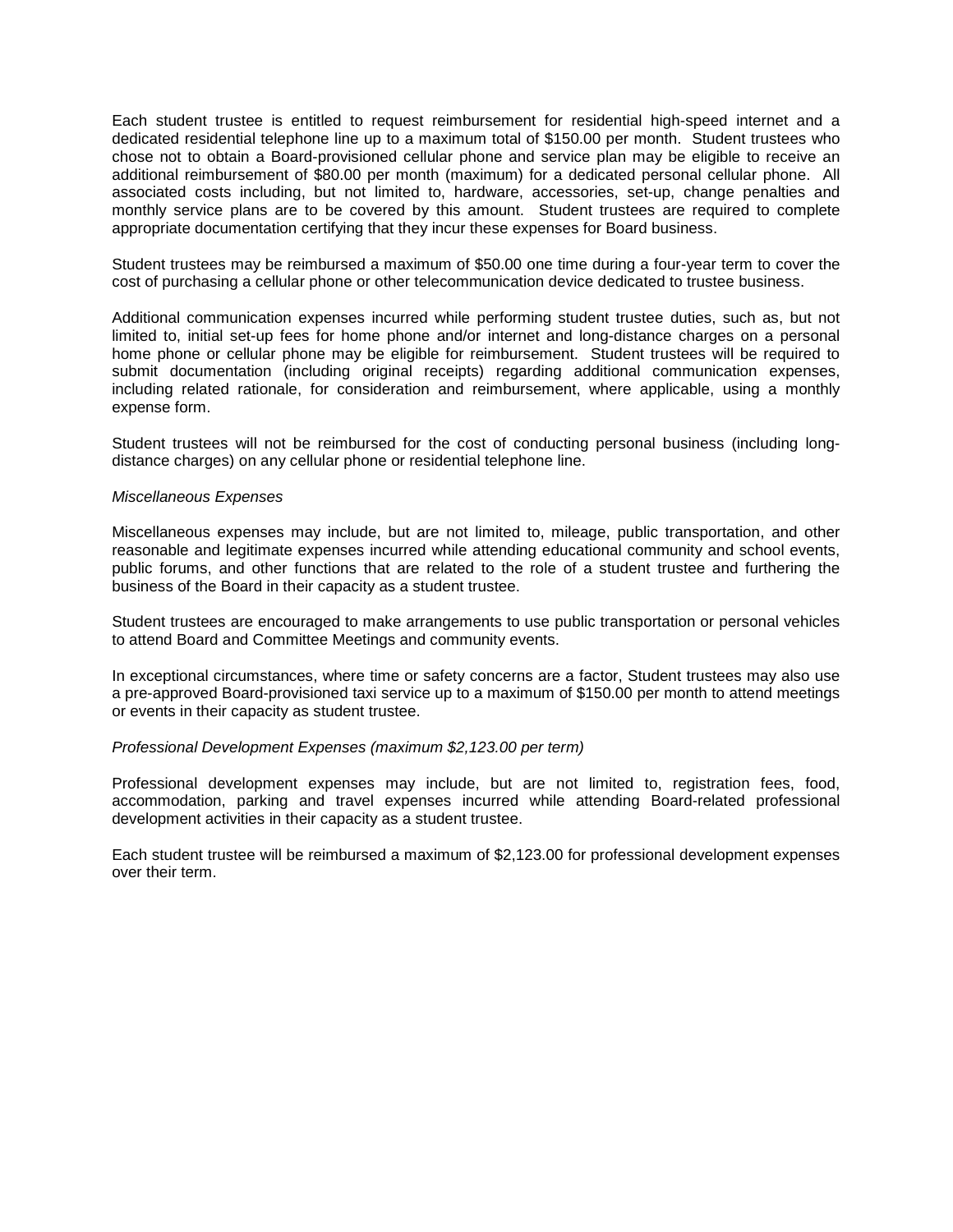Each student trustee is entitled to request reimbursement for residential high-speed internet and a dedicated residential telephone line up to a maximum total of \$150.00 per month. Student trustees who chose not to obtain a Board-provisioned cellular phone and service plan may be eligible to receive an additional reimbursement of \$80.00 per month (maximum) for a dedicated personal cellular phone. All associated costs including, but not limited to, hardware, accessories, set-up, change penalties and monthly service plans are to be covered by this amount. Student trustees are required to complete appropriate documentation certifying that they incur these expenses for Board business.

Student trustees may be reimbursed a maximum of \$50.00 one time during a four-year term to cover the cost of purchasing a cellular phone or other telecommunication device dedicated to trustee business.

Additional communication expenses incurred while performing student trustee duties, such as, but not limited to, initial set-up fees for home phone and/or internet and long-distance charges on a personal home phone or cellular phone may be eligible for reimbursement. Student trustees will be required to submit documentation (including original receipts) regarding additional communication expenses, including related rationale, for consideration and reimbursement, where applicable, using a monthly expense form.

Student trustees will not be reimbursed for the cost of conducting personal business (including longdistance charges) on any cellular phone or residential telephone line.

#### *Miscellaneous Expenses*

Miscellaneous expenses may include, but are not limited to, mileage, public transportation, and other reasonable and legitimate expenses incurred while attending educational community and school events, public forums, and other functions that are related to the role of a student trustee and furthering the business of the Board in their capacity as a student trustee.

Student trustees are encouraged to make arrangements to use public transportation or personal vehicles to attend Board and Committee Meetings and community events.

In exceptional circumstances, where time or safety concerns are a factor, Student trustees may also use a pre-approved Board-provisioned taxi service up to a maximum of \$150.00 per month to attend meetings or events in their capacity as student trustee.

#### *Professional Development Expenses (maximum \$2,123.00 per term)*

Professional development expenses may include, but are not limited to, registration fees, food, accommodation, parking and travel expenses incurred while attending Board-related professional development activities in their capacity as a student trustee.

Each student trustee will be reimbursed a maximum of \$2,123.00 for professional development expenses over their term.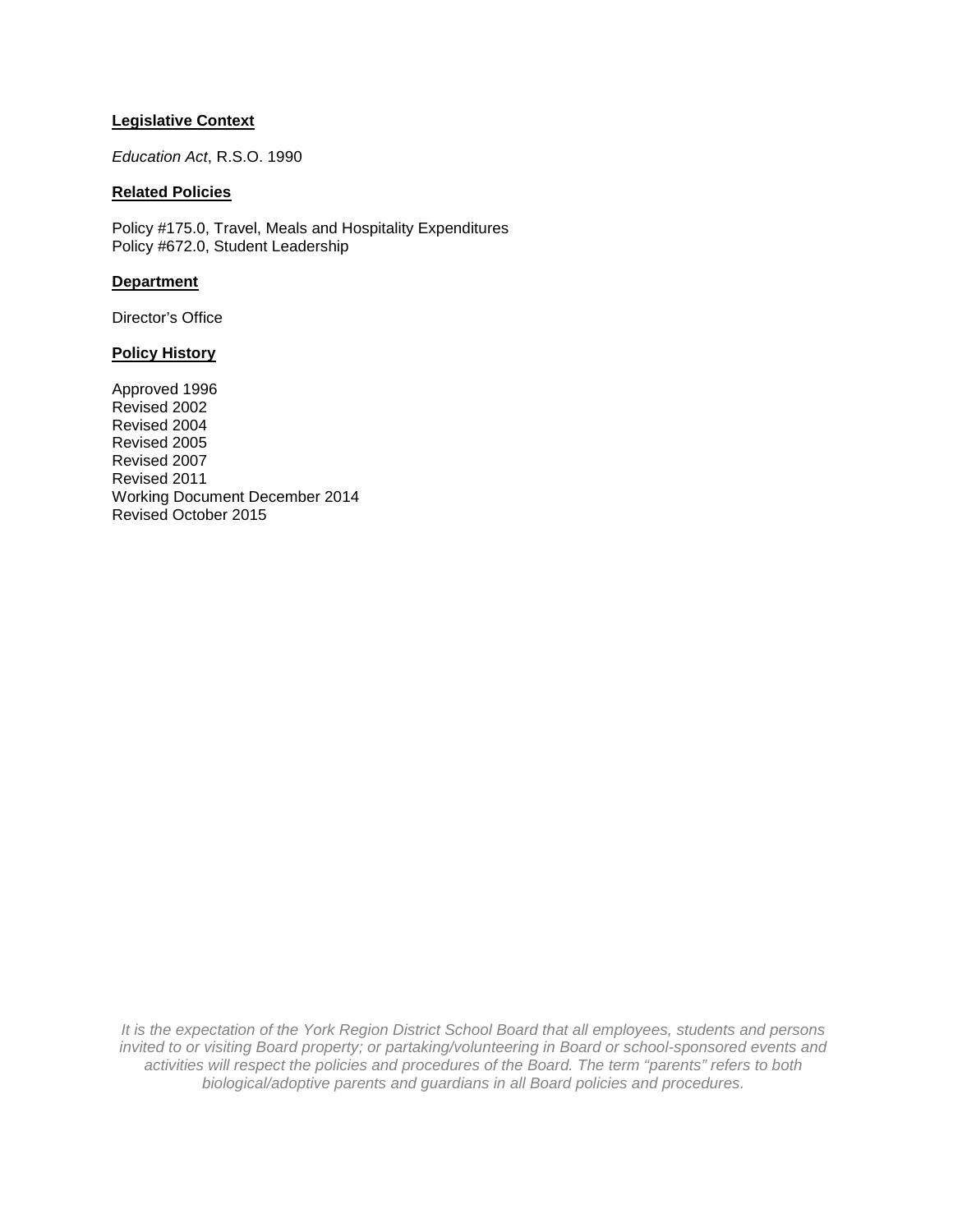# **Legislative Context**

*Education Act*, R.S.O. 1990

# **Related Policies**

Policy #175.0, Travel, Meals and Hospitality Expenditures Policy #672.0, Student Leadership

## **Department**

Director's Office

#### **Policy History**

Approved 1996 Revised 2002 Revised 2004 Revised 2005 Revised 2007 Revised 2011 Working Document December 2014 Revised October 2015

*It is the expectation of the York Region District School Board that all employees, students and persons invited to or visiting Board property; or partaking/volunteering in Board or school-sponsored events and activities will respect the policies and procedures of the Board. The term "parents" refers to both biological/adoptive parents and guardians in all Board policies and procedures.*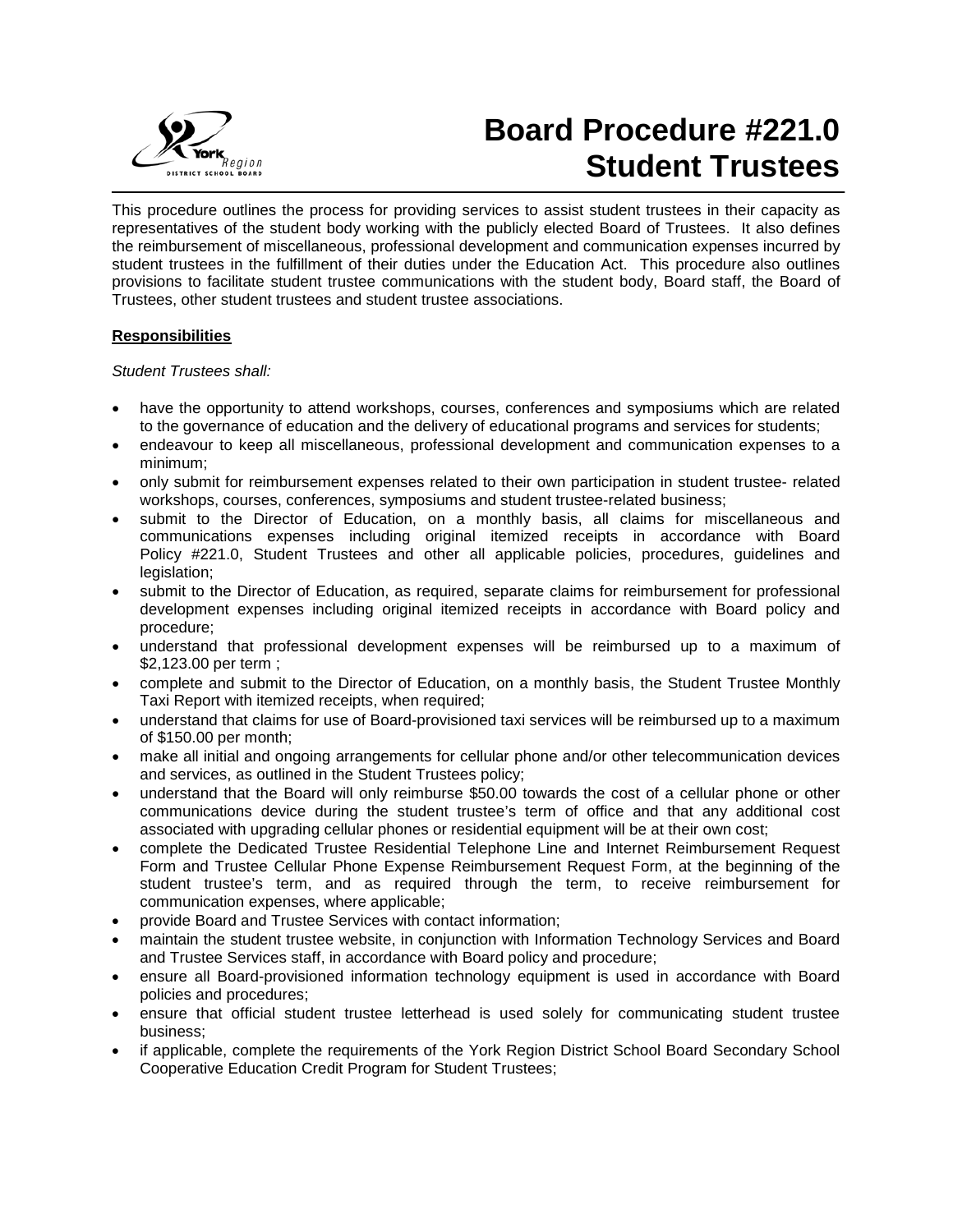

# **Board Procedure #221.0 Student Trustees**

This procedure outlines the process for providing services to assist student trustees in their capacity as representatives of the student body working with the publicly elected Board of Trustees. It also defines the reimbursement of miscellaneous, professional development and communication expenses incurred by student trustees in the fulfillment of their duties under the Education Act. This procedure also outlines provisions to facilitate student trustee communications with the student body, Board staff, the Board of Trustees, other student trustees and student trustee associations.

# **Responsibilities**

## *Student Trustees shall:*

- have the opportunity to attend workshops, courses, conferences and symposiums which are related to the governance of education and the delivery of educational programs and services for students;
- endeavour to keep all miscellaneous, professional development and communication expenses to a minimum;
- only submit for reimbursement expenses related to their own participation in student trustee- related workshops, courses, conferences, symposiums and student trustee-related business;
- submit to the Director of Education, on a monthly basis, all claims for miscellaneous and communications expenses including original itemized receipts in accordance with Board Policy #221.0, Student Trustees and other all applicable policies, procedures, guidelines and legislation;
- submit to the Director of Education, as required, separate claims for reimbursement for professional development expenses including original itemized receipts in accordance with Board policy and procedure;
- understand that professional development expenses will be reimbursed up to a maximum of \$2,123.00 per term ;
- complete and submit to the Director of Education, on a monthly basis, the Student Trustee Monthly Taxi Report with itemized receipts, when required;
- understand that claims for use of Board-provisioned taxi services will be reimbursed up to a maximum of \$150.00 per month;
- make all initial and ongoing arrangements for cellular phone and/or other telecommunication devices and services, as outlined in the Student Trustees policy;
- understand that the Board will only reimburse \$50.00 towards the cost of a cellular phone or other communications device during the student trustee's term of office and that any additional cost associated with upgrading cellular phones or residential equipment will be at their own cost;
- complete the Dedicated Trustee Residential Telephone Line and Internet Reimbursement Request Form and Trustee Cellular Phone Expense Reimbursement Request Form, at the beginning of the student trustee's term, and as required through the term, to receive reimbursement for communication expenses, where applicable;
- provide Board and Trustee Services with contact information;
- maintain the student trustee website, in conjunction with Information Technology Services and Board and Trustee Services staff, in accordance with Board policy and procedure;
- ensure all Board-provisioned information technology equipment is used in accordance with Board policies and procedures;
- ensure that official student trustee letterhead is used solely for communicating student trustee business;
- if applicable, complete the requirements of the York Region District School Board Secondary School Cooperative Education Credit Program for Student Trustees;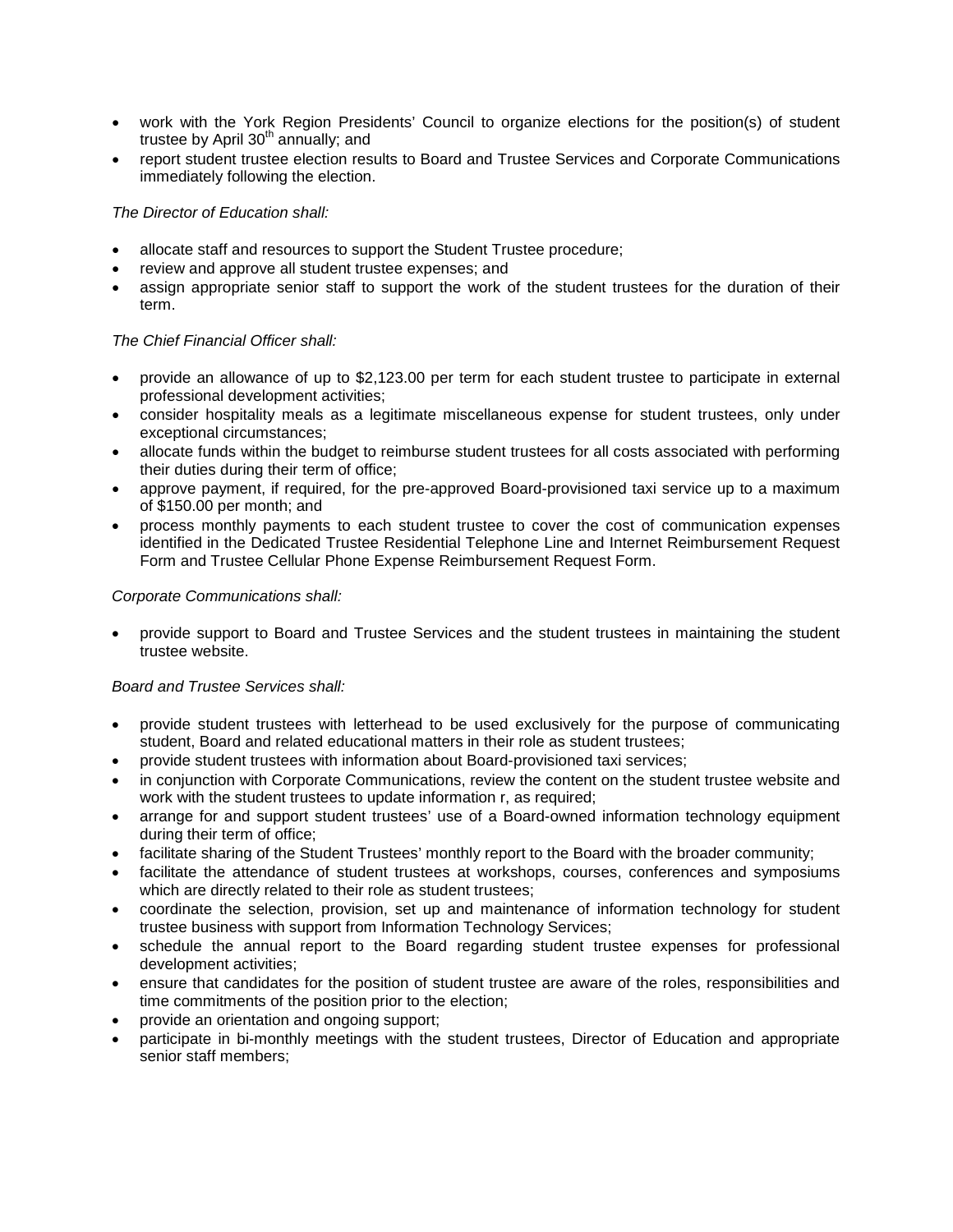- work with the York Region Presidents' Council to organize elections for the position(s) of student trustee by April  $30<sup>th</sup>$  annually; and
- report student trustee election results to Board and Trustee Services and Corporate Communications immediately following the election.

# *The Director of Education shall:*

- allocate staff and resources to support the Student Trustee procedure;
- review and approve all student trustee expenses; and
- assign appropriate senior staff to support the work of the student trustees for the duration of their term.

# *The Chief Financial Officer shall:*

- provide an allowance of up to \$2,123.00 per term for each student trustee to participate in external professional development activities;
- consider hospitality meals as a legitimate miscellaneous expense for student trustees, only under exceptional circumstances;
- allocate funds within the budget to reimburse student trustees for all costs associated with performing their duties during their term of office;
- approve payment, if required, for the pre-approved Board-provisioned taxi service up to a maximum of \$150.00 per month; and
- process monthly payments to each student trustee to cover the cost of communication expenses identified in the Dedicated Trustee Residential Telephone Line and Internet Reimbursement Request Form and Trustee Cellular Phone Expense Reimbursement Request Form.

## *Corporate Communications shall:*

• provide support to Board and Trustee Services and the student trustees in maintaining the student trustee website.

## *Board and Trustee Services shall:*

- provide student trustees with letterhead to be used exclusively for the purpose of communicating student, Board and related educational matters in their role as student trustees;
- provide student trustees with information about Board-provisioned taxi services;
- in conjunction with Corporate Communications, review the content on the student trustee website and work with the student trustees to update information r, as required;
- arrange for and support student trustees' use of a Board-owned information technology equipment during their term of office;
- facilitate sharing of the Student Trustees' monthly report to the Board with the broader community;
- facilitate the attendance of student trustees at workshops, courses, conferences and symposiums which are directly related to their role as student trustees;
- coordinate the selection, provision, set up and maintenance of information technology for student trustee business with support from Information Technology Services;
- schedule the annual report to the Board regarding student trustee expenses for professional development activities;
- ensure that candidates for the position of student trustee are aware of the roles, responsibilities and time commitments of the position prior to the election;
- provide an orientation and ongoing support;
- participate in bi-monthly meetings with the student trustees, Director of Education and appropriate senior staff members;